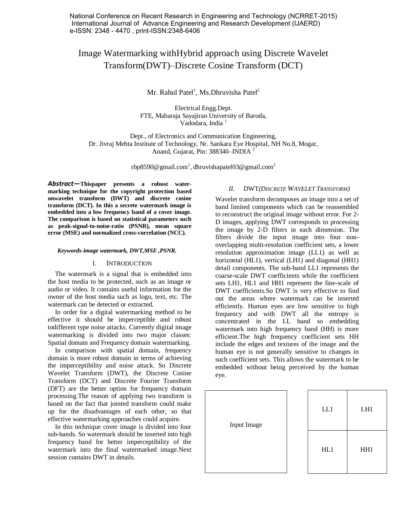National Conference on Recent Research in Engineering and Technology (NCRRET-2015) International Journal of Advance Engineering and Research Development (IJAERD) e-ISSN: 2348 - 4470 , print-ISSN:2348-6406

# Image Watermarking withHybrid approach using Discrete Wavelet Transform(DWT)–Discrete Cosine Transform (DCT)

Mr. Rahul Patel<sup>1</sup>, Ms.Dhruvisha Patel<sup>2</sup>

Electrical Engg.Dept. FTE, Maharaja Sayajirao University of Baroda, Vadodara, India<sup>1</sup>

Dept., of Electronics and Communication Engineering, Dr. Jivraj Mehta Institute of Technology, Nr. Sankara Eye Hospital, NH No.8, Mogar, Anand, Gujarat, Pin: 388340–INDIA<sup>2</sup>

rbp8590@gmail.com<sup>1</sup>, dhruvishapatel03@gmail.com<sup>2</sup>

*Abstract***—Thispaper presents a robust watermarking technique for the copyright protection based onwavelet transform (DWT) and discrete cosine transform (DCT). In this a secrete watermark image is embedded into a low frequency band of a cover image. The comparison is based on statistical parameters such as peak-signal-to-noise-ratio (PSNR), mean square error (MSE) and normalized cross-correlation (NCC).**

#### *Keywords-image watermark, DWT,MSE ,PSNR.*

#### I. INTRODUCTION

The watermark is a signal that is embedded into the host media to be protected, such as an image or audio or video. It contains useful information for the owner of the host media such as logo, text, etc. The watermark can be detected or extracted.

In order for a digital watermarking method to be effective it should be imperceptible and robust todifferent type noise attacks. Currently digital image watermarking is divided into two major classes: Spatial domain and Frequency domain watermarking.

In comparison with spatial domain, frequency domain is more robust domain in terms of achieving the imperceptibility and noise attack. So Discrete Wavelet Transform (DWT), the Discrete Cosine Transform (DCT) and Discrete Fourier Transform (DFT) are the better option for frequency domain processing.The reason of applying two transform is based on the fact that jointed transform could make up for the disadvantages of each other, so that effective watermarking approaches could acquire.

In this technique cover image is divided into four sub-bands. So watermark should be inserted into high frequency band for better imperceptibility of the watermark into the final watermarked image.Next session contains DWT in details.

#### *II.* DWT*(DISCRETE WAVELET TRANSFORM)*

Wavelet transform decomposes an image into a set of band limited components which can be reassembled to reconstruct the original image without error. For 2- D images, applying DWT corresponds to processing the image by 2-D filters in each dimension. The filters divide the input image into four nonoverlapping multi-resolution coefficient sets, a lower resolution approximation image (LL1) as well as horizontal (HL1), vertical (LH1) and diagonal (HH1) detail components. The sub-band LL1 represents the coarse-scale DWT coefficients while the coefficient sets LH1, HL1 and HH1 represent the fine-scale of DWT coefficients.So DWT is very effective to find out the areas where watermark can be inserted efficiently. Human eyes are low sensitive to high frequency and with DWT all the entropy is concentrated in the LL band so embedding watermark into high frequency band (HH) is more efficient.The high frequency coefficient sets HH include the edges and textures of the image and the human eye is not generally sensitive to changes in such coefficient sets. This allows the watermark to be embedded without being perceived by the human eye.

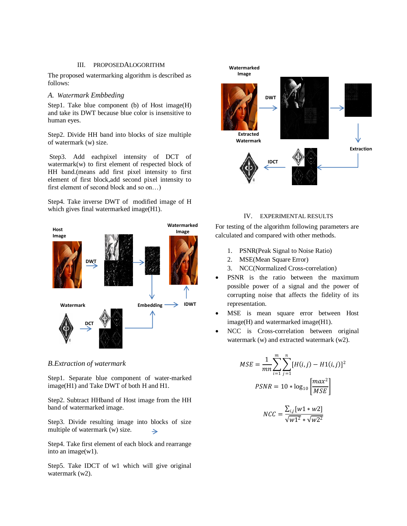## III. PROPOSEDALOGORITHM

The proposed watermarking algorithm is described as follows:

#### *A. Watermark Embbeding*

Step1. Take blue component (b) of Host image(H) and take its DWT because blue color is insensitive to human eyes.

Step2. Divide HH band into blocks of size multiple of watermark (w) size.

Step3. Add eachpixel intensity of DCT of watermark(w) to first element of respected block of HH band.(means add first pixel intensity to first element of first block,add second pixel intensity to first element of second block and so on…)

Step4. Take inverse DWT of modified image of H which gives final watermarked image(H1).



*B.Extraction of watermark*

Step1. Separate blue component of water-marked image(H1) and Take DWT of both H and H1.

Step2. Subtract HHband of Host image from the HH band of watermarked image.

Step3. Divide resulting image into blocks of size multiple of watermark (w) size.  $\rightarrow$ 

Step4. Take first element of each block and rearrange into an image(w1).

Step5. Take IDCT of w1 which will give original watermark (w2).



## IV. EXPERIMENTAL RESULTS

For testing of the algorithm following parameters are calculated and compared with other methods.

- 1. PSNR(Peak Signal to Noise Ratio)
- 2. MSE(Mean Square Error)
- 3. NCC(Normalized Cross-correlation)
- PSNR is the ratio between the maximum possible power of a signal and the power of corrupting noise that affects the fidelity of its representation.
- MSE is mean square error between Host image(H) and watermarked image(H1).
- NCC is Cross-correlation between original watermark (w) and extracted watermark (w2).

$$
MSE = \frac{1}{mn} \sum_{i=1}^{m} \sum_{j=1}^{n} [H(i, j) - H1(i, j)]^{2}
$$
  
\n
$$
PSNR = 10 * \log_{10} \left[ \frac{max^{2}}{MSE} \right]
$$
  
\n
$$
NCC = \frac{\sum_{i,j} [w1 * w2]}{max}
$$

 $\sqrt{w1^2} * \sqrt{w2^2}$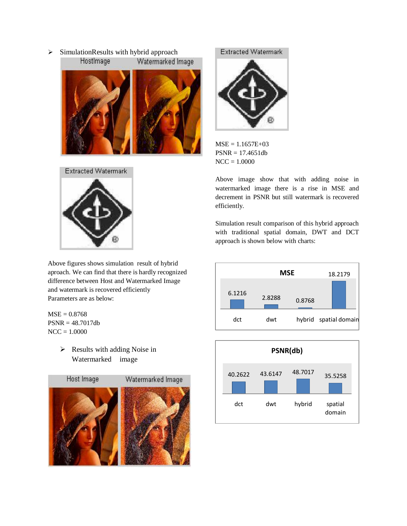$\triangleright$  SimulationResults with hybrid approach







Above figures shows simulation result of hybrid aproach. We can find that there is hardly recognized difference between Host and Watermarked Image and watermark is recovered efficiently Parameters are as below:

 $MSE = 0.8768$ PSNR = 48.7017db  $NCC = 1.0000$ 

> $\triangleright$  Results with adding Noise in Watermarked image



Extracted Watermark

 $MSE = 1.1657E + 03$ PSNR = 17.4651db  $NCC = 1.0000$ 

Above image show that with adding noise in watermarked image there is a rise in MSE and decrement in PSNR but still watermark is recovered efficiently.

Simulation result comparison of this hybrid approach with traditional spatial domain, DWT and DCT approach is shown below with charts:



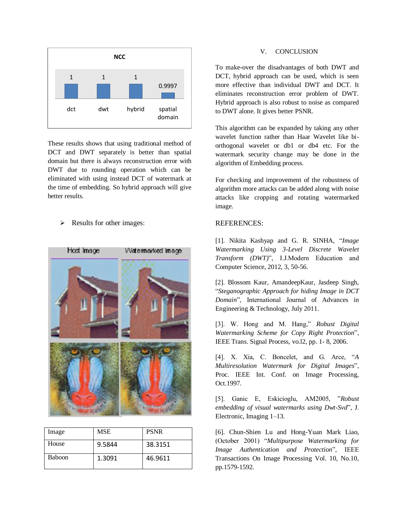

These results shows that using traditional method of DCT and DWT separately is better than spatial domain but there is always reconstruction error with DWT due to rounding operation which can be eliminated with using instead DCT of watermark at the time of embedding. So hybrid approach will give better results.

 $\triangleright$  Results for other images:



| Image         | MSE    | <b>PSNR</b> |
|---------------|--------|-------------|
| House         | 9.5844 | 38.3151     |
| <b>Baboon</b> | 1.3091 | 46.9611     |

## V. CONCLUSION

To make-over the disadvantages of both DWT and DCT, hybrid approach can be used, which is seen more effective than individual DWT and DCT. It eliminates reconstruction error problem of DWT. Hybrid approach is also robust to noise as compared to DWT alone. It gives better PSNR.

This algorithm can be expanded by taking any other wavelet function rather than Haar Wavelet like biorthogonal wavelet or db1 or db4 etc. For the watermark security change may be done in the algorithm of Embedding process.

For checking and improvement of the robustness of algorithm more attacks can be added along with noise attacks like cropping and rotating watermarked image.

# REFERENCES:

[1]. Nikita Kashyap and G. R. SINHA, "*Image Watermarking Using 3-Level Discrete Wavelet Transform (DWT)*", I.J.Modern Education and Computer Science, 2012, 3, 50-56.

[2]. Blossom Kaur, AmandeepKaur, Jasdeep Singh, "*Steganographic Approach for hiding Image in DCT Domain*", International Journal of Advances in Engineering & Technology, July 2011.

[3]. W. Hong and M. Hang," *Robust Digital Watermarking Scheme for Copy Right Protection*", IEEE Trans. Signal Process, vo.l2, pp. 1- 8, 2006.

[4]. X. Xia, C. Boncelet, and G. Arce, "*A Multiresolution Watermark for Digital Images*", Proc. IEEE Int. Conf. on Image Processing, Oct.1997.

[5]. Ganic E, Eskicioglu, AM2005, "*Robust embedding of visual watermarks using Dwt-Svd*", J. Electronic, Imaging 1–13.

[6]. Chun-Shien Lu and Hong-Yuan Mark Liao, (October 2001) "*Multipurpose Watermarking for Image Authentication and Protection*", IEEE Transactions On Image Processing Vol. 10, No.10, pp.1579-1592.